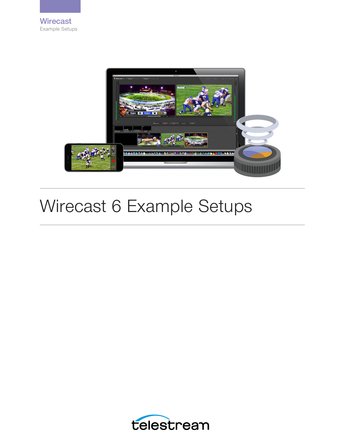

# Wirecast 6 Example Setups

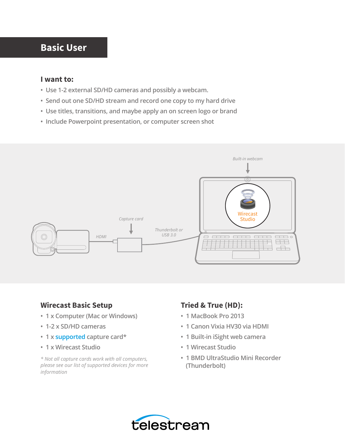# **Basic User**

#### **I want to:**

- **Use 1-2 external SD/HD cameras and possibly a webcam.**
- **Send out one SD/HD stream and record one copy to my hard drive**
- **Use titles, transitions, and maybe apply an on screen logo or brand**
- **Include Powerpoint presentation, or computer screen shot**



#### **Wirecast Basic Setup**

- **1 x Computer (Mac or Windows)**
- **1-2 x SD/HD cameras**
- **1 x [supported](http://www.telestream.net/wirecast/devices.htm%23capture) capture card\***
- **1 x Wirecast Studio**

*\* Not all capture cards work with all computers, please see our list of supported devices for more information*

## **Tried & True (HD):**

- **1 MacBook Pro 2013**
- **1 Canon Vixia HV30 via HDMI**
- **1 Built-in iSight web camera**
- **1 Wirecast Studio**
- **1 BMD UltraStudio Mini Recorder (Thunderbolt)**

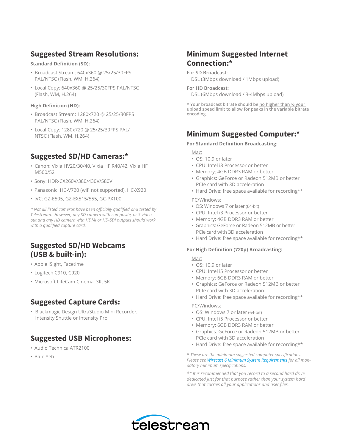## **Suggested Stream Resolutions:**

**Standard Definition (SD):** 

- Broadcast Stream: 640x360 @ 25/25/30FPS PAL/NTSC (Flash, WM, H.264)
- Local Copy: 640x360 @ 25/25/30FPS PAL/NTSC (Flash, WM, H.264)

#### **High Definition (HD):**

- Broadcast Stream: 1280x720 @ 25/25/30FPS PAL/NTSC (Flash, WM, H.264)
- Local Copy: 1280x720 @ 25/25/30FPS PAL/ NTSC (Flash, WM, H.264)

#### **Suggested SD/HD Cameras:\***

- Canon: Vixia HV20/30/40, Vixia HF R40/42, Vixia HF M500/52
- Sony: HDR-CX260V/380/430V/580V
- Panasonic: HC-V720 (wifi not supported), HC-X920
- JVC: GZ-E505, GZ-EX515/555, GC-PX100

*\* Not all listed cameras have been officially qualified and tested by Telestream. However, any SD camera with composite, or S-video out and any HD camera with HDMI or HD-SDI outputs should work with a qualified capture card.*

## **Suggested SD/HD Webcams (USB & built-in):**

- Apple iSight, Facetime
- Logitech C910, C920
- Microsoft LifeCam Cinema, 3K, 5K

#### **Suggested Capture Cards:**

• Blackmagic Design UltraStudio Mini Recorder, Intensity Shuttle or Intensity Pro

#### **Suggested USB Microphones:**

- Audio Technica ATR2100
- Blue Yeti

## **Minimum Suggested Internet Connection:\***

#### **For SD Broadcast:**

DSL (3Mbps download / 1Mbps upload)

#### **For HD Broadcast:**

DSL (6Mbps download / 3-4Mbps upload)

**\* Your broadcast bitrate should be no higher than ½ your upload speed limit to allow for peaks in the variable bitrate encoding.**

#### **Minimum Suggested Computer:\***

#### **For Standard Definition Broadcasting:**

#### Mac:

- OS: 10.9 or later
- CPU: Intel i3 Processor or better
- Memory: 4GB DDR3 RAM or better
- Graphics: GeForce or Radeon 512MB or better PCIe card with 3D acceleration
- Hard Drive: free space available for recording\*\*

#### PC/Windows:

- OS: Windows 7 or later (64-bit)
- CPU: Intel i3 Processor or better
- Memory: 4GB DDR3 RAM or better
- Graphics: GeForce or Radeon 512MB or better PCIe card with 3D acceleration
- Hard Drive: free space available for recording\*\*

#### **For High Definition (720p) Broadcasting:**

Mac:

- OS: 10.9 or later
- CPU: Intel i5 Processor or better
- Memory: 6GB DDR3 RAM or better
- Graphics: GeForce or Radeon 512MB or better PCIe card with 3D acceleration
- Hard Drive: free space available for recording\*\*

#### PC/Windows:

- OS: Windows 7 or later (64-bit)
- CPU: Intel i5 Processor or better
- Memory: 6GB DDR3 RAM or better
- Graphics: GeForce or Radeon 512MB or better PCIe card with 3D acceleration
- Hard Drive: free space available for recording\*\*

*\* These are the minimum suggested computer specifications. Please see [Wirecast 6 Minimum System Requirements](http://www.telestream.net/wirecast/tech-specs.htm) for all mandatory minimum specifications.*

*\*\* It is recommended that you record to a second hard drive dedicated just for that purpose rather than your system hard drive that carries all your applications and user files.*

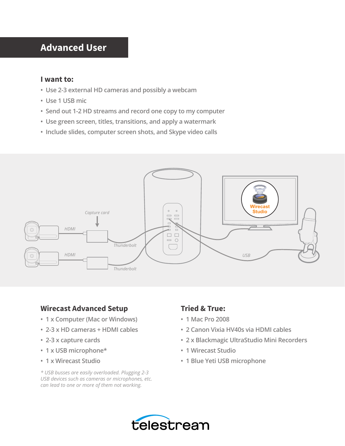# **Advanced User**

#### **I want to:**

- **Use 2-3 external HD cameras and possibly a webcam**
- **Use 1 USB mic**
- **Send out 1-2 HD streams and record one copy to my computer**
- **Use green screen, titles, transitions, and apply a watermark**
- **Include slides, computer screen shots, and Skype video calls**



#### **Wirecast Advanced Setup**

- **1 x Computer (Mac or Windows)**
- **2-3 x HD cameras + HDMI cables**
- **2-3 x capture cards**
- **1 x USB microphone\***
- **1 x Wirecast Studio**

*\* USB busses are easily overloaded. Plugging 2-3 USB devices such as cameras or microphones, etc. can lead to one or more of them not working.*

## **Tried & True:**

- **1 Mac Pro 2008**
- **2 Canon Vixia HV40s via HDMI cables**
- **2 x Blackmagic UltraStudio Mini Recorders**
- **1 Wirecast Studio**
- **1 Blue Yeti USB microphone**

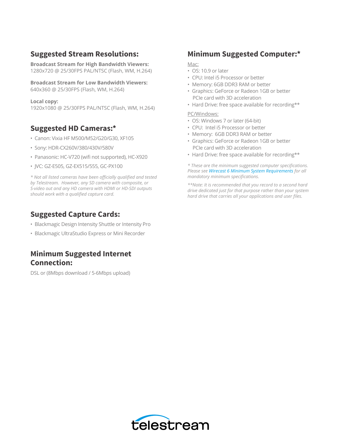## **Suggested Stream Resolutions:**

**Broadcast Stream for High Bandwidth Viewers:**  1280x720 @ 25/30FPS PAL/NTSC (Flash, WM, H.264)

**Broadcast Stream for Low Bandwidth Viewers:**  640x360 @ 25/30FPS (Flash, WM, H.264)

**Local copy:**  1920x1080 @ 25/30FPS PAL/NTSC (Flash, WM, H.264)

## **Suggested HD Cameras:\***

- Canon: Vixia HF M500/M52/G20/G30, XF105
- Sony: HDR-CX260V/380/430V/580V
- Panasonic: HC-V720 (wifi not supported), HC-X920
- JVC: GZ-E505, GZ-EX515/555, GC-PX100

*\* Not all listed cameras have been officially qualified and tested by Telestream. However, any SD camera with composite, or S-video out and any HD camera with HDMI or HD-SDI outputs should work with a qualified capture card.*

#### **Suggested Capture Cards:**

- Blackmagic Design Intensity Shuttle or Intensity Pro
- Blackmagic UltraStudio Express or Mini Recorder

## **Minimum Suggested Internet Connection:**

DSL or (8Mbps download / 5-6Mbps upload)

#### **Minimum Suggested Computer:\***

Mac:

- OS: 10.9 or later
- CPU: Intel i5 Processor or better
- Memory: 6GB DDR3 RAM or better
- Graphics: GeForce or Radeon 1GB or better PCIe card with 3D acceleration
- Hard Drive: free space available for recording\*\*

PC/Windows:

- OS: Windows 7 or later (64-bit)
- CPU: Intel i5 Processor or better
- Memory: 6GB DDR3 RAM or better
- Graphics: GeForce or Radeon 1GB or better PCIe card with 3D acceleration
- Hard Drive: free space available for recording\*\*

*\* These are the minimum suggested computer specifications. Please see [Wirecast 6 Minimum System Requirements](http://www.telestream.net/wirecast/tech-specs.htm) for all mandatory minimum specifications.*

*\*\*Note: It is recommended that you record to a second hard drive dedicated just for that purpose rather than your system hard drive that carries all your applications and user files.*

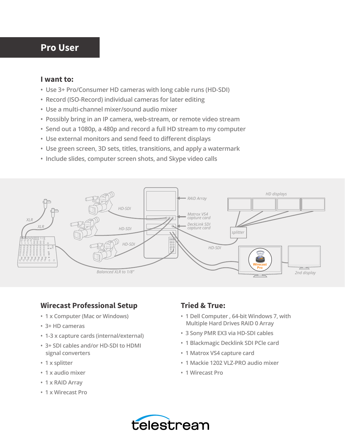## **Pro User**

#### **I want to:**

- **Use 3+ Pro/Consumer HD cameras with long cable runs (HD-SDI)**
- **Record (ISO-Record) individual cameras for later editing**
- **Use a multi-channel mixer/sound audio mixer**
- **Possibly bring in an IP camera, web-stream, or remote video stream**
- **Send out a 1080p, a 480p and record a full HD stream to my computer**
- **Use external monitors and send feed to different displays**
- **Use green screen, 3D sets, titles, transitions, and apply a watermark**
- **Include slides, computer screen shots, and Skype video calls**



## **Wirecast Professional Setup**

- **1 x Computer (Mac or Windows)**
- **3+ HD cameras**
- **1-3 x capture cards (internal/external)**
- **3+ SDI cables and/or HD-SDI to HDMI signal converters**
- **1 x splitter**
- **1 x audio mixer**
- **1 x RAID Array**
- **1 x Wirecast Pro**

## **Tried & True:**

- **1 Dell Computer , 64-bit Windows 7, with Multiple Hard Drives RAID 0 Array**
- **3 Sony PMR EX3 via HD-SDI cables**
- **1 Blackmagic Decklink SDI PCle card**
- **1 Matrox VS4 capture card**
- **1 Mackie 1202 VLZ-PRO audio mixer**
- **1 Wirecast Pro**